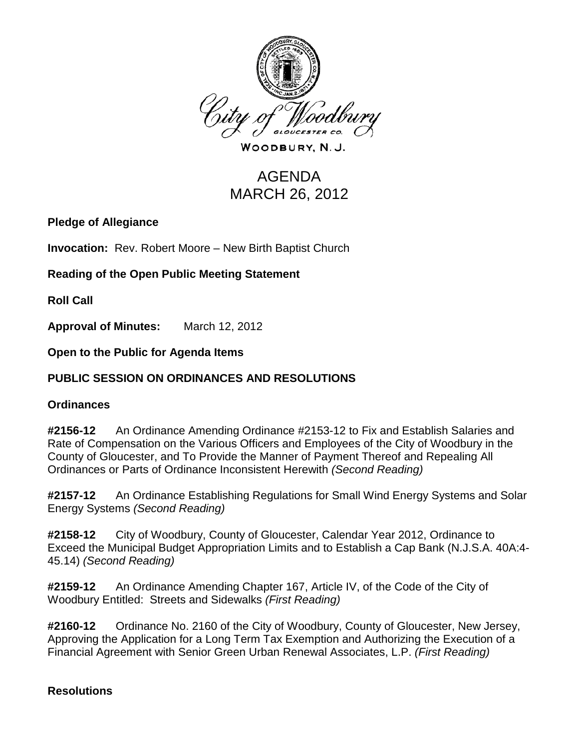

WOODBURY, N.J.

# AGENDA MARCH 26, 2012

# **Pledge of Allegiance**

**Invocation:** Rev. Robert Moore – New Birth Baptist Church

**Reading of the Open Public Meeting Statement**

**Roll Call**

**Approval of Minutes:** March 12, 2012

**Open to the Public for Agenda Items**

# **PUBLIC SESSION ON ORDINANCES AND RESOLUTIONS**

#### **Ordinances**

**#2156-12** An Ordinance Amending Ordinance #2153-12 to Fix and Establish Salaries and Rate of Compensation on the Various Officers and Employees of the City of Woodbury in the County of Gloucester, and To Provide the Manner of Payment Thereof and Repealing All Ordinances or Parts of Ordinance Inconsistent Herewith *(Second Reading)*

**#2157-12** An Ordinance Establishing Regulations for Small Wind Energy Systems and Solar Energy Systems *(Second Reading)*

**#2158-12** City of Woodbury, County of Gloucester, Calendar Year 2012, Ordinance to Exceed the Municipal Budget Appropriation Limits and to Establish a Cap Bank (N.J.S.A. 40A:4- 45.14) *(Second Reading)*

**#2159-12** An Ordinance Amending Chapter 167, Article IV, of the Code of the City of Woodbury Entitled: Streets and Sidewalks *(First Reading)*

**#2160-12** Ordinance No. 2160 of the City of Woodbury, County of Gloucester, New Jersey, Approving the Application for a Long Term Tax Exemption and Authorizing the Execution of a Financial Agreement with Senior Green Urban Renewal Associates, L.P. *(First Reading)*

# **Resolutions**